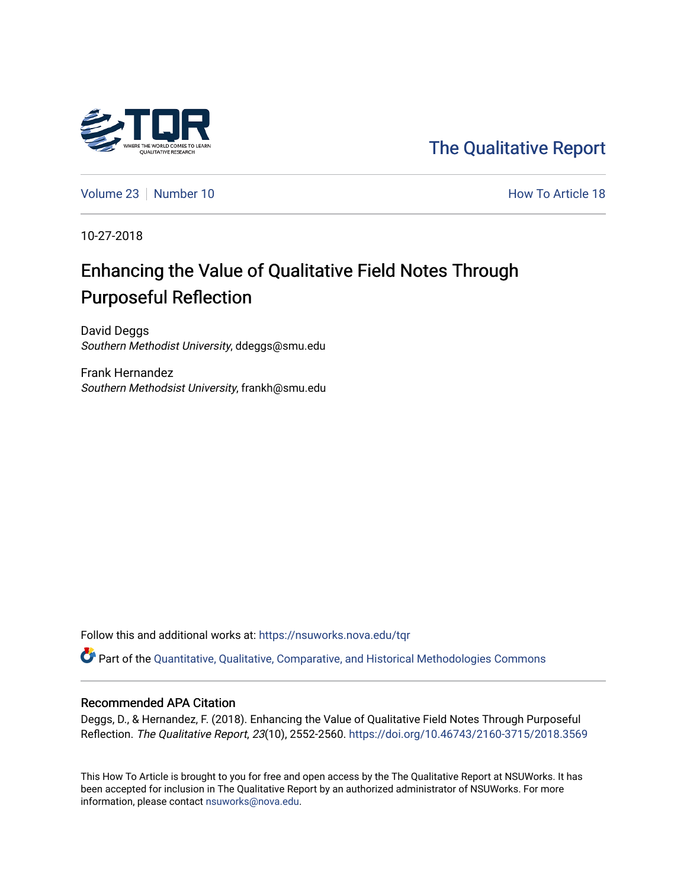

[The Qualitative Report](https://nsuworks.nova.edu/tqr) 

[Volume 23](https://nsuworks.nova.edu/tqr/vol23) [Number 10](https://nsuworks.nova.edu/tqr/vol23/iss10) **How To Article 18** Number 10

10-27-2018

# Enhancing the Value of Qualitative Field Notes Through Purposeful Reflection

David Deggs Southern Methodist University, ddeggs@smu.edu

Frank Hernandez Southern Methodsist University, frankh@smu.edu

Follow this and additional works at: [https://nsuworks.nova.edu/tqr](https://nsuworks.nova.edu/tqr?utm_source=nsuworks.nova.edu%2Ftqr%2Fvol23%2Fiss10%2F18&utm_medium=PDF&utm_campaign=PDFCoverPages) 

Part of the [Quantitative, Qualitative, Comparative, and Historical Methodologies Commons](http://network.bepress.com/hgg/discipline/423?utm_source=nsuworks.nova.edu%2Ftqr%2Fvol23%2Fiss10%2F18&utm_medium=PDF&utm_campaign=PDFCoverPages) 

#### Recommended APA Citation

Deggs, D., & Hernandez, F. (2018). Enhancing the Value of Qualitative Field Notes Through Purposeful Reflection. The Qualitative Report, 23(10), 2552-2560.<https://doi.org/10.46743/2160-3715/2018.3569>

This How To Article is brought to you for free and open access by the The Qualitative Report at NSUWorks. It has been accepted for inclusion in The Qualitative Report by an authorized administrator of NSUWorks. For more information, please contact [nsuworks@nova.edu.](mailto:nsuworks@nova.edu)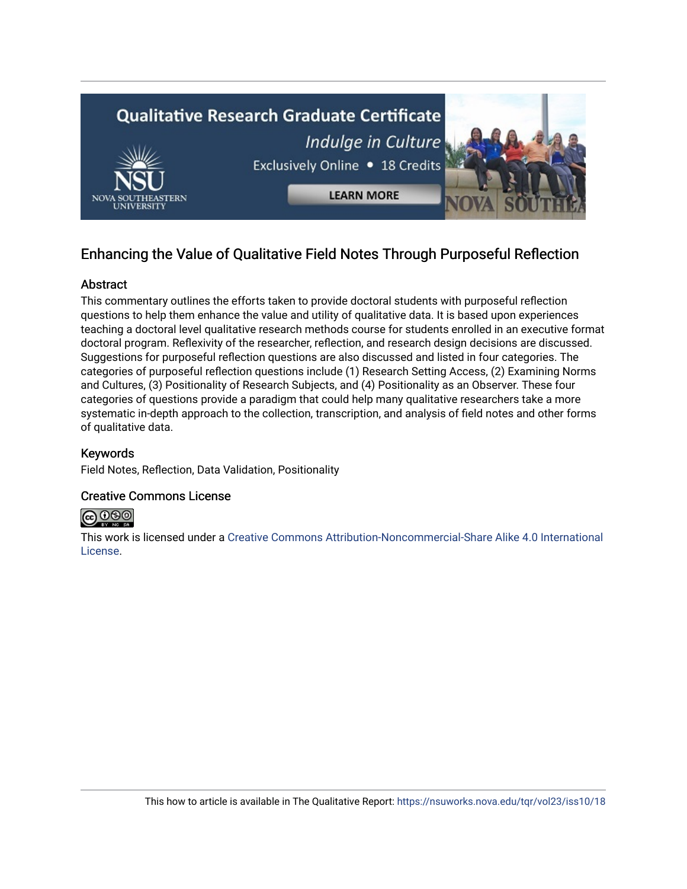

# Enhancing the Value of Qualitative Field Notes Through Purposeful Reflection

# Abstract

This commentary outlines the efforts taken to provide doctoral students with purposeful reflection questions to help them enhance the value and utility of qualitative data. It is based upon experiences teaching a doctoral level qualitative research methods course for students enrolled in an executive format doctoral program. Reflexivity of the researcher, reflection, and research design decisions are discussed. Suggestions for purposeful reflection questions are also discussed and listed in four categories. The categories of purposeful reflection questions include (1) Research Setting Access, (2) Examining Norms and Cultures, (3) Positionality of Research Subjects, and (4) Positionality as an Observer. These four categories of questions provide a paradigm that could help many qualitative researchers take a more systematic in-depth approach to the collection, transcription, and analysis of field notes and other forms of qualitative data.

# Keywords

Field Notes, Reflection, Data Validation, Positionality

# Creative Commons License



This work is licensed under a [Creative Commons Attribution-Noncommercial-Share Alike 4.0 International](https://creativecommons.org/licenses/by-nc-sa/4.0/)  [License](https://creativecommons.org/licenses/by-nc-sa/4.0/).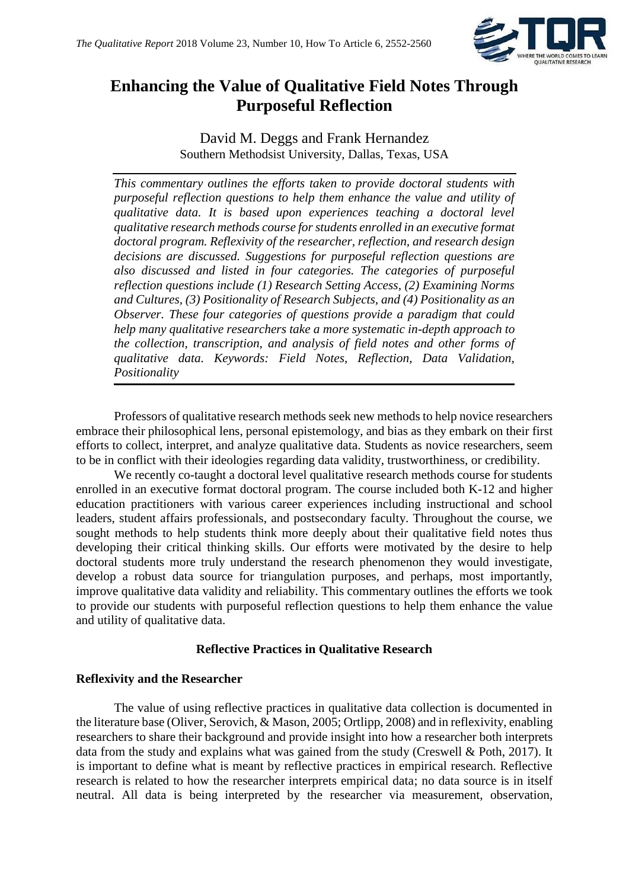

# **Enhancing the Value of Qualitative Field Notes Through Purposeful Reflection**

David M. Deggs and Frank Hernandez Southern Methodsist University, Dallas, Texas, USA

*This commentary outlines the efforts taken to provide doctoral students with purposeful reflection questions to help them enhance the value and utility of qualitative data. It is based upon experiences teaching a doctoral level qualitative research methods course for students enrolled in an executive format doctoral program. Reflexivity of the researcher, reflection, and research design decisions are discussed. Suggestions for purposeful reflection questions are also discussed and listed in four categories. The categories of purposeful reflection questions include (1) Research Setting Access, (2) Examining Norms and Cultures, (3) Positionality of Research Subjects, and (4) Positionality as an Observer. These four categories of questions provide a paradigm that could help many qualitative researchers take a more systematic in-depth approach to the collection, transcription, and analysis of field notes and other forms of qualitative data. Keywords: Field Notes, Reflection, Data Validation, Positionality*

Professors of qualitative research methods seek new methods to help novice researchers embrace their philosophical lens, personal epistemology, and bias as they embark on their first efforts to collect, interpret, and analyze qualitative data. Students as novice researchers, seem to be in conflict with their ideologies regarding data validity, trustworthiness, or credibility.

We recently co-taught a doctoral level qualitative research methods course for students enrolled in an executive format doctoral program. The course included both K-12 and higher education practitioners with various career experiences including instructional and school leaders, student affairs professionals, and postsecondary faculty. Throughout the course, we sought methods to help students think more deeply about their qualitative field notes thus developing their critical thinking skills. Our efforts were motivated by the desire to help doctoral students more truly understand the research phenomenon they would investigate, develop a robust data source for triangulation purposes, and perhaps, most importantly, improve qualitative data validity and reliability. This commentary outlines the efforts we took to provide our students with purposeful reflection questions to help them enhance the value and utility of qualitative data.

# **Reflective Practices in Qualitative Research**

# **Reflexivity and the Researcher**

The value of using reflective practices in qualitative data collection is documented in the literature base (Oliver, Serovich, & Mason, 2005; Ortlipp, 2008) and in reflexivity, enabling researchers to share their background and provide insight into how a researcher both interprets data from the study and explains what was gained from the study (Creswell & Poth, 2017). It is important to define what is meant by reflective practices in empirical research. Reflective research is related to how the researcher interprets empirical data; no data source is in itself neutral. All data is being interpreted by the researcher via measurement, observation,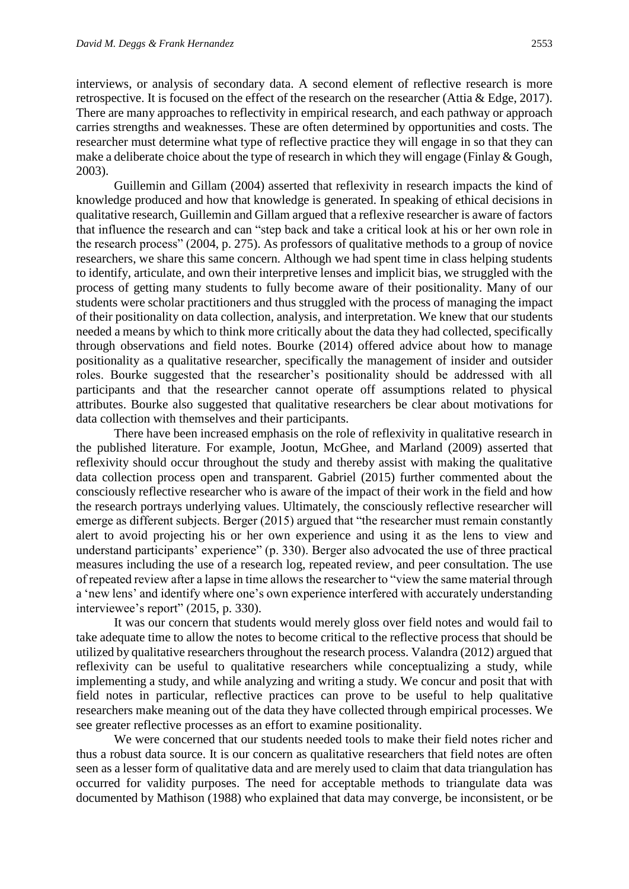interviews, or analysis of secondary data. A second element of reflective research is more retrospective. It is focused on the effect of the research on the researcher (Attia & Edge, 2017). There are many approaches to reflectivity in empirical research, and each pathway or approach carries strengths and weaknesses. These are often determined by opportunities and costs. The researcher must determine what type of reflective practice they will engage in so that they can make a deliberate choice about the type of research in which they will engage (Finlay & Gough, 2003).

Guillemin and Gillam (2004) asserted that reflexivity in research impacts the kind of knowledge produced and how that knowledge is generated. In speaking of ethical decisions in qualitative research, Guillemin and Gillam argued that a reflexive researcher is aware of factors that influence the research and can "step back and take a critical look at his or her own role in the research process" (2004, p. 275). As professors of qualitative methods to a group of novice researchers, we share this same concern. Although we had spent time in class helping students to identify, articulate, and own their interpretive lenses and implicit bias, we struggled with the process of getting many students to fully become aware of their positionality. Many of our students were scholar practitioners and thus struggled with the process of managing the impact of their positionality on data collection, analysis, and interpretation. We knew that our students needed a means by which to think more critically about the data they had collected, specifically through observations and field notes. Bourke (2014) offered advice about how to manage positionality as a qualitative researcher, specifically the management of insider and outsider roles. Bourke suggested that the researcher's positionality should be addressed with all participants and that the researcher cannot operate off assumptions related to physical attributes. Bourke also suggested that qualitative researchers be clear about motivations for data collection with themselves and their participants.

There have been increased emphasis on the role of reflexivity in qualitative research in the published literature. For example, Jootun, McGhee, and Marland (2009) asserted that reflexivity should occur throughout the study and thereby assist with making the qualitative data collection process open and transparent. Gabriel (2015) further commented about the consciously reflective researcher who is aware of the impact of their work in the field and how the research portrays underlying values. Ultimately, the consciously reflective researcher will emerge as different subjects. Berger (2015) argued that "the researcher must remain constantly alert to avoid projecting his or her own experience and using it as the lens to view and understand participants' experience" (p. 330). Berger also advocated the use of three practical measures including the use of a research log, repeated review, and peer consultation. The use of repeated review after a lapse in time allows the researcher to "view the same material through a 'new lens' and identify where one's own experience interfered with accurately understanding interviewee's report" (2015, p. 330).

It was our concern that students would merely gloss over field notes and would fail to take adequate time to allow the notes to become critical to the reflective process that should be utilized by qualitative researchers throughout the research process. Valandra (2012) argued that reflexivity can be useful to qualitative researchers while conceptualizing a study, while implementing a study, and while analyzing and writing a study. We concur and posit that with field notes in particular, reflective practices can prove to be useful to help qualitative researchers make meaning out of the data they have collected through empirical processes. We see greater reflective processes as an effort to examine positionality.

We were concerned that our students needed tools to make their field notes richer and thus a robust data source. It is our concern as qualitative researchers that field notes are often seen as a lesser form of qualitative data and are merely used to claim that data triangulation has occurred for validity purposes. The need for acceptable methods to triangulate data was documented by Mathison (1988) who explained that data may converge, be inconsistent, or be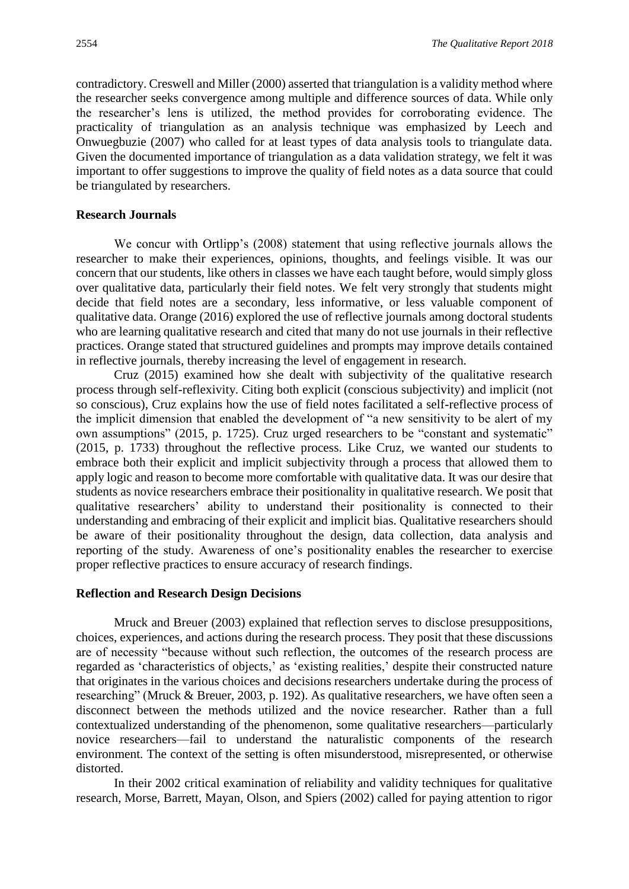contradictory. Creswell and Miller (2000) asserted that triangulation is a validity method where the researcher seeks convergence among multiple and difference sources of data. While only the researcher's lens is utilized, the method provides for corroborating evidence. The practicality of triangulation as an analysis technique was emphasized by Leech and Onwuegbuzie (2007) who called for at least types of data analysis tools to triangulate data. Given the documented importance of triangulation as a data validation strategy, we felt it was important to offer suggestions to improve the quality of field notes as a data source that could be triangulated by researchers.

#### **Research Journals**

We concur with Ortlipp's (2008) statement that using reflective journals allows the researcher to make their experiences, opinions, thoughts, and feelings visible. It was our concern that our students, like others in classes we have each taught before, would simply gloss over qualitative data, particularly their field notes. We felt very strongly that students might decide that field notes are a secondary, less informative, or less valuable component of qualitative data. Orange (2016) explored the use of reflective journals among doctoral students who are learning qualitative research and cited that many do not use journals in their reflective practices. Orange stated that structured guidelines and prompts may improve details contained in reflective journals, thereby increasing the level of engagement in research.

Cruz (2015) examined how she dealt with subjectivity of the qualitative research process through self-reflexivity. Citing both explicit (conscious subjectivity) and implicit (not so conscious), Cruz explains how the use of field notes facilitated a self-reflective process of the implicit dimension that enabled the development of "a new sensitivity to be alert of my own assumptions" (2015, p. 1725). Cruz urged researchers to be "constant and systematic" (2015, p. 1733) throughout the reflective process. Like Cruz, we wanted our students to embrace both their explicit and implicit subjectivity through a process that allowed them to apply logic and reason to become more comfortable with qualitative data. It was our desire that students as novice researchers embrace their positionality in qualitative research. We posit that qualitative researchers' ability to understand their positionality is connected to their understanding and embracing of their explicit and implicit bias. Qualitative researchers should be aware of their positionality throughout the design, data collection, data analysis and reporting of the study. Awareness of one's positionality enables the researcher to exercise proper reflective practices to ensure accuracy of research findings.

#### **Reflection and Research Design Decisions**

Mruck and Breuer (2003) explained that reflection serves to disclose presuppositions, choices, experiences, and actions during the research process. They posit that these discussions are of necessity "because without such reflection, the outcomes of the research process are regarded as 'characteristics of objects,' as 'existing realities,' despite their constructed nature that originates in the various choices and decisions researchers undertake during the process of researching" (Mruck & Breuer, 2003, p. 192). As qualitative researchers, we have often seen a disconnect between the methods utilized and the novice researcher. Rather than a full contextualized understanding of the phenomenon, some qualitative researchers—particularly novice researchers—fail to understand the naturalistic components of the research environment. The context of the setting is often misunderstood, misrepresented, or otherwise distorted.

In their 2002 critical examination of reliability and validity techniques for qualitative research, Morse, Barrett, Mayan, Olson, and Spiers (2002) called for paying attention to rigor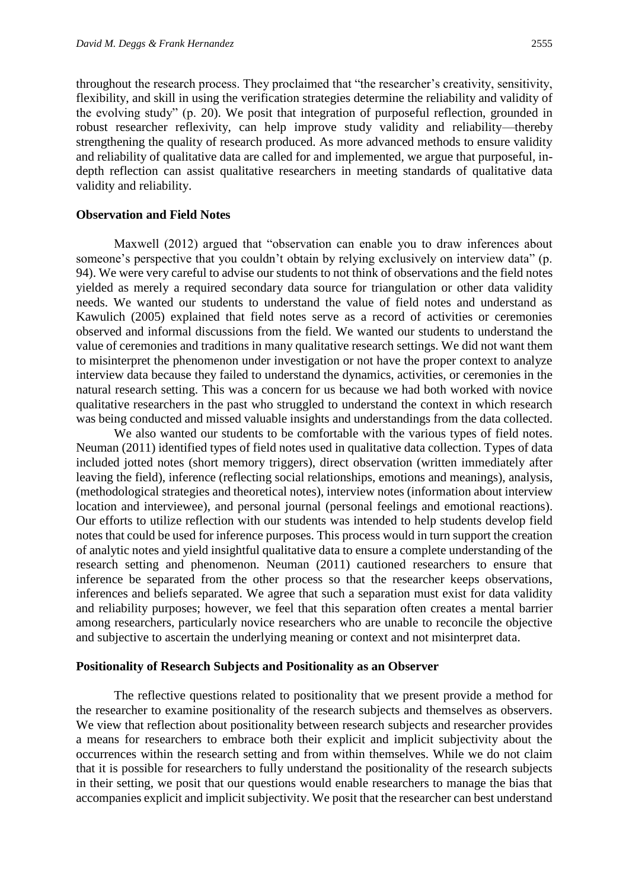throughout the research process. They proclaimed that "the researcher's creativity, sensitivity, flexibility, and skill in using the verification strategies determine the reliability and validity of the evolving study" (p. 20). We posit that integration of purposeful reflection, grounded in robust researcher reflexivity, can help improve study validity and reliability—thereby strengthening the quality of research produced. As more advanced methods to ensure validity and reliability of qualitative data are called for and implemented, we argue that purposeful, indepth reflection can assist qualitative researchers in meeting standards of qualitative data validity and reliability.

#### **Observation and Field Notes**

Maxwell (2012) argued that "observation can enable you to draw inferences about someone's perspective that you couldn't obtain by relying exclusively on interview data" (p. 94). We were very careful to advise our students to not think of observations and the field notes yielded as merely a required secondary data source for triangulation or other data validity needs. We wanted our students to understand the value of field notes and understand as Kawulich (2005) explained that field notes serve as a record of activities or ceremonies observed and informal discussions from the field. We wanted our students to understand the value of ceremonies and traditions in many qualitative research settings. We did not want them to misinterpret the phenomenon under investigation or not have the proper context to analyze interview data because they failed to understand the dynamics, activities, or ceremonies in the natural research setting. This was a concern for us because we had both worked with novice qualitative researchers in the past who struggled to understand the context in which research was being conducted and missed valuable insights and understandings from the data collected.

We also wanted our students to be comfortable with the various types of field notes. Neuman (2011) identified types of field notes used in qualitative data collection. Types of data included jotted notes (short memory triggers), direct observation (written immediately after leaving the field), inference (reflecting social relationships, emotions and meanings), analysis, (methodological strategies and theoretical notes), interview notes (information about interview location and interviewee), and personal journal (personal feelings and emotional reactions). Our efforts to utilize reflection with our students was intended to help students develop field notes that could be used for inference purposes. This process would in turn support the creation of analytic notes and yield insightful qualitative data to ensure a complete understanding of the research setting and phenomenon. Neuman (2011) cautioned researchers to ensure that inference be separated from the other process so that the researcher keeps observations, inferences and beliefs separated. We agree that such a separation must exist for data validity and reliability purposes; however, we feel that this separation often creates a mental barrier among researchers, particularly novice researchers who are unable to reconcile the objective and subjective to ascertain the underlying meaning or context and not misinterpret data.

#### **Positionality of Research Subjects and Positionality as an Observer**

The reflective questions related to positionality that we present provide a method for the researcher to examine positionality of the research subjects and themselves as observers. We view that reflection about positionality between research subjects and researcher provides a means for researchers to embrace both their explicit and implicit subjectivity about the occurrences within the research setting and from within themselves. While we do not claim that it is possible for researchers to fully understand the positionality of the research subjects in their setting, we posit that our questions would enable researchers to manage the bias that accompanies explicit and implicit subjectivity. We posit that the researcher can best understand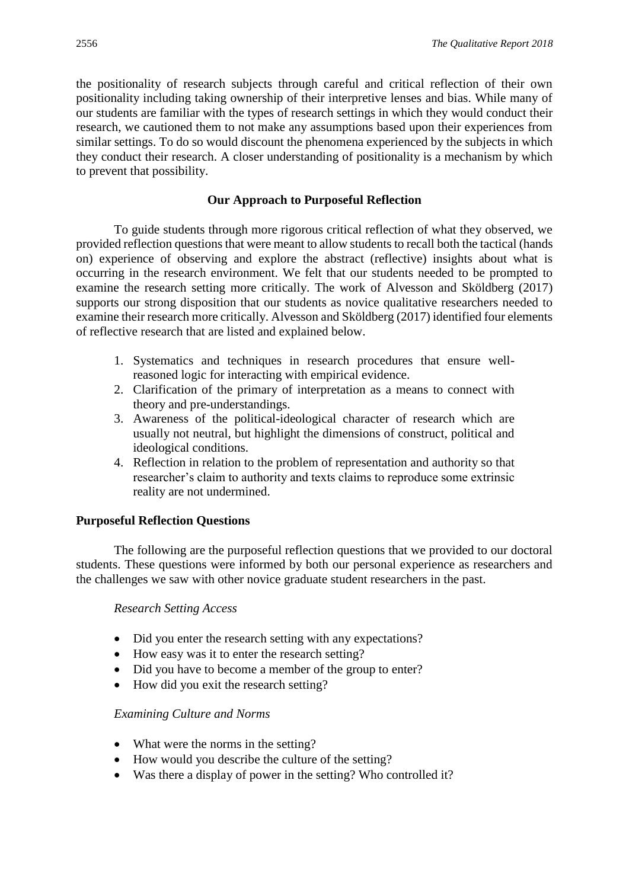the positionality of research subjects through careful and critical reflection of their own positionality including taking ownership of their interpretive lenses and bias. While many of our students are familiar with the types of research settings in which they would conduct their research, we cautioned them to not make any assumptions based upon their experiences from similar settings. To do so would discount the phenomena experienced by the subjects in which they conduct their research. A closer understanding of positionality is a mechanism by which to prevent that possibility.

# **Our Approach to Purposeful Reflection**

To guide students through more rigorous critical reflection of what they observed, we provided reflection questions that were meant to allow students to recall both the tactical (hands on) experience of observing and explore the abstract (reflective) insights about what is occurring in the research environment. We felt that our students needed to be prompted to examine the research setting more critically. The work of Alvesson and Sköldberg (2017) supports our strong disposition that our students as novice qualitative researchers needed to examine their research more critically. Alvesson and Sköldberg (2017) identified four elements of reflective research that are listed and explained below.

- 1. Systematics and techniques in research procedures that ensure wellreasoned logic for interacting with empirical evidence.
- 2. Clarification of the primary of interpretation as a means to connect with theory and pre-understandings.
- 3. Awareness of the political-ideological character of research which are usually not neutral, but highlight the dimensions of construct, political and ideological conditions.
- 4. Reflection in relation to the problem of representation and authority so that researcher's claim to authority and texts claims to reproduce some extrinsic reality are not undermined.

#### **Purposeful Reflection Questions**

The following are the purposeful reflection questions that we provided to our doctoral students. These questions were informed by both our personal experience as researchers and the challenges we saw with other novice graduate student researchers in the past.

#### *Research Setting Access*

- Did you enter the research setting with any expectations?
- How easy was it to enter the research setting?
- Did you have to become a member of the group to enter?
- How did you exit the research setting?

#### *Examining Culture and Norms*

- What were the norms in the setting?
- How would you describe the culture of the setting?
- Was there a display of power in the setting? Who controlled it?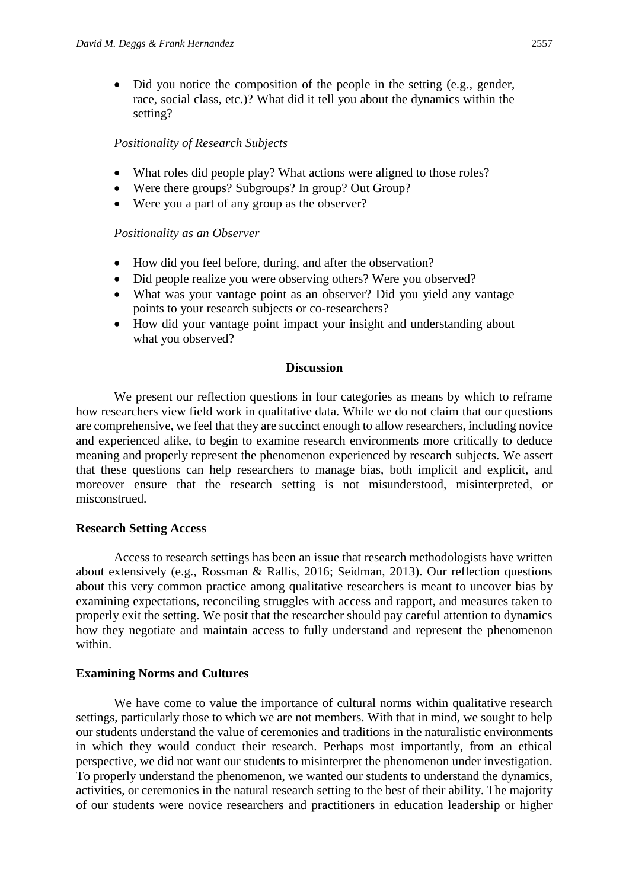• Did you notice the composition of the people in the setting (e.g., gender, race, social class, etc.)? What did it tell you about the dynamics within the setting?

### *Positionality of Research Subjects*

- What roles did people play? What actions were aligned to those roles?
- Were there groups? Subgroups? In group? Out Group?
- Were you a part of any group as the observer?

# *Positionality as an Observer*

- How did you feel before, during, and after the observation?
- Did people realize you were observing others? Were you observed?
- What was your vantage point as an observer? Did you yield any vantage points to your research subjects or co-researchers?
- How did your vantage point impact your insight and understanding about what you observed?

#### **Discussion**

We present our reflection questions in four categories as means by which to reframe how researchers view field work in qualitative data. While we do not claim that our questions are comprehensive, we feel that they are succinct enough to allow researchers, including novice and experienced alike, to begin to examine research environments more critically to deduce meaning and properly represent the phenomenon experienced by research subjects. We assert that these questions can help researchers to manage bias, both implicit and explicit, and moreover ensure that the research setting is not misunderstood, misinterpreted, or misconstrued.

# **Research Setting Access**

Access to research settings has been an issue that research methodologists have written about extensively (e.g., Rossman & Rallis, 2016; Seidman, 2013). Our reflection questions about this very common practice among qualitative researchers is meant to uncover bias by examining expectations, reconciling struggles with access and rapport, and measures taken to properly exit the setting. We posit that the researcher should pay careful attention to dynamics how they negotiate and maintain access to fully understand and represent the phenomenon within.

#### **Examining Norms and Cultures**

We have come to value the importance of cultural norms within qualitative research settings, particularly those to which we are not members. With that in mind, we sought to help our students understand the value of ceremonies and traditions in the naturalistic environments in which they would conduct their research. Perhaps most importantly, from an ethical perspective, we did not want our students to misinterpret the phenomenon under investigation. To properly understand the phenomenon, we wanted our students to understand the dynamics, activities, or ceremonies in the natural research setting to the best of their ability. The majority of our students were novice researchers and practitioners in education leadership or higher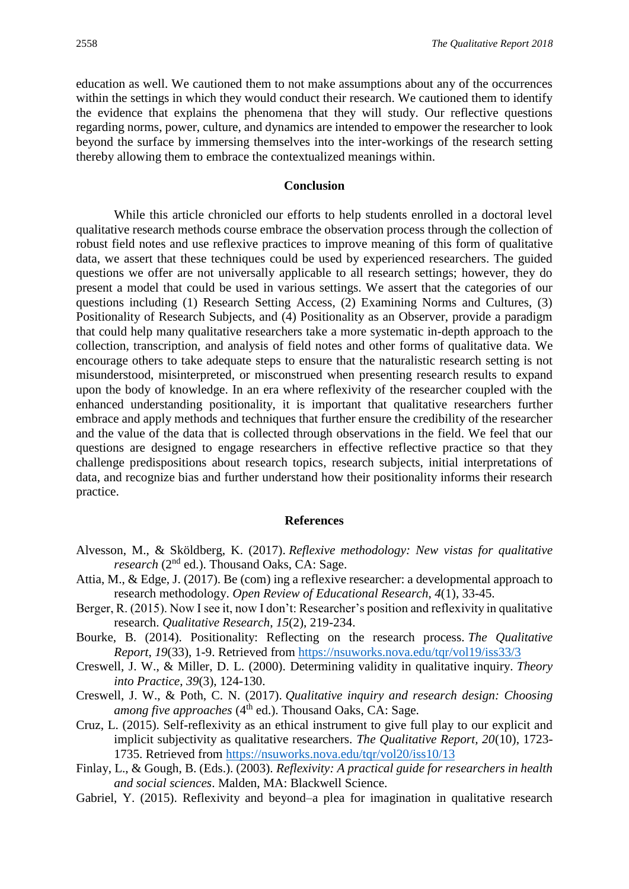education as well. We cautioned them to not make assumptions about any of the occurrences within the settings in which they would conduct their research. We cautioned them to identify the evidence that explains the phenomena that they will study. Our reflective questions regarding norms, power, culture, and dynamics are intended to empower the researcher to look beyond the surface by immersing themselves into the inter-workings of the research setting thereby allowing them to embrace the contextualized meanings within.

#### **Conclusion**

While this article chronicled our efforts to help students enrolled in a doctoral level qualitative research methods course embrace the observation process through the collection of robust field notes and use reflexive practices to improve meaning of this form of qualitative data, we assert that these techniques could be used by experienced researchers. The guided questions we offer are not universally applicable to all research settings; however, they do present a model that could be used in various settings. We assert that the categories of our questions including (1) Research Setting Access, (2) Examining Norms and Cultures, (3) Positionality of Research Subjects, and (4) Positionality as an Observer, provide a paradigm that could help many qualitative researchers take a more systematic in-depth approach to the collection, transcription, and analysis of field notes and other forms of qualitative data. We encourage others to take adequate steps to ensure that the naturalistic research setting is not misunderstood, misinterpreted, or misconstrued when presenting research results to expand upon the body of knowledge. In an era where reflexivity of the researcher coupled with the enhanced understanding positionality, it is important that qualitative researchers further embrace and apply methods and techniques that further ensure the credibility of the researcher and the value of the data that is collected through observations in the field. We feel that our questions are designed to engage researchers in effective reflective practice so that they challenge predispositions about research topics, research subjects, initial interpretations of data, and recognize bias and further understand how their positionality informs their research practice.

#### **References**

- Alvesson, M., & Sköldberg, K. (2017). *Reflexive methodology: New vistas for qualitative research* (2nd ed.). Thousand Oaks, CA: Sage.
- Attia, M., & Edge, J. (2017). Be (com) ing a reflexive researcher: a developmental approach to research methodology. *Open Review of Educational Research*, *4*(1), 33-45.
- Berger, R. (2015). Now I see it, now I don't: Researcher's position and reflexivity in qualitative research. *Qualitative Research*, *15*(2), 219-234.
- Bourke, B. (2014). Positionality: Reflecting on the research process. *The Qualitative Report*, *19*(33), 1-9. Retrieved from<https://nsuworks.nova.edu/tqr/vol19/iss33/3>
- Creswell, J. W., & Miller, D. L. (2000). Determining validity in qualitative inquiry. *Theory into Practice*, *39*(3), 124-130.
- Creswell, J. W., & Poth, C. N. (2017). *Qualitative inquiry and research design: Choosing among five approaches* (4<sup>th</sup> ed.). Thousand Oaks, CA: Sage.
- Cruz, L. (2015). Self-reflexivity as an ethical instrument to give full play to our explicit and implicit subjectivity as qualitative researchers. *The Qualitative Report, 20*(10), 1723- 1735. Retrieved from<https://nsuworks.nova.edu/tqr/vol20/iss10/13>
- Finlay, L., & Gough, B. (Eds.). (2003). *Reflexivity: A practical guide for researchers in health and social sciences*. Malden, MA: Blackwell Science.
- Gabriel, Y. (2015). Reflexivity and beyond–a plea for imagination in qualitative research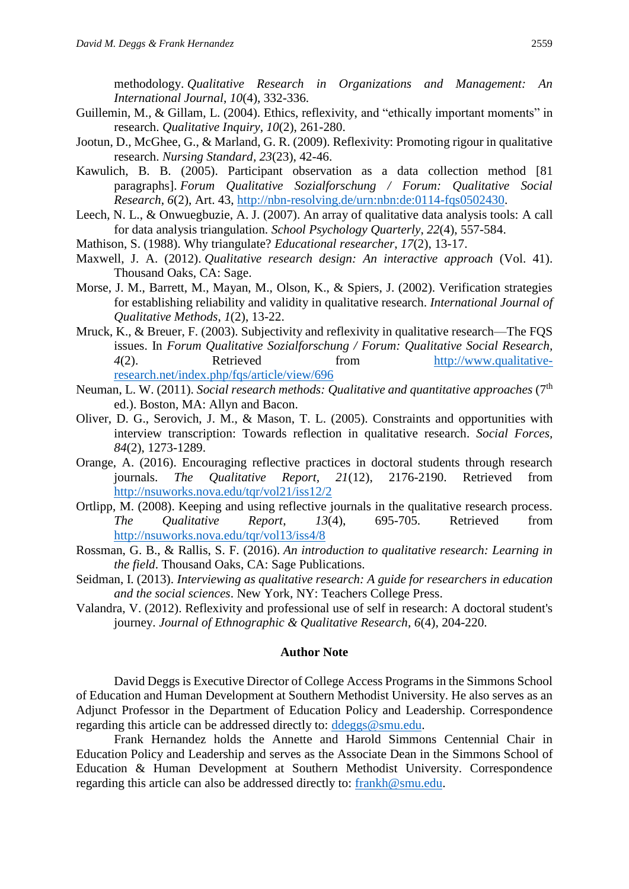methodology. *Qualitative Research in Organizations and Management: An International Journal*, *10*(4), 332-336.

- Guillemin, M., & Gillam, L. (2004). Ethics, reflexivity, and "ethically important moments" in research. *Qualitative Inquiry*, *10*(2), 261-280.
- Jootun, D., McGhee, G., & Marland, G. R. (2009). Reflexivity: Promoting rigour in qualitative research. *Nursing Standard, 23*(23), 42-46.
- Kawulich, B. B. (2005). Participant observation as a data collection method [81 paragraphs]. *Forum Qualitative Sozialforschung / Forum: Qualitative Social Research*, *6*(2), Art. 43, [http://nbn-resolving.de/urn:nbn:de:0114-fqs0502430.](http://nbn-resolving.de/urn:nbn:de:0114-fqs0502430)
- Leech, N. L., & Onwuegbuzie, A. J. (2007). An array of qualitative data analysis tools: A call for data analysis triangulation. *School Psychology Quarterly*, *22*(4), 557-584.
- Mathison, S. (1988). Why triangulate? *Educational researcher*, *17*(2), 13-17.
- Maxwell, J. A. (2012). *Qualitative research design: An interactive approach* (Vol. 41). Thousand Oaks, CA: Sage.
- Morse, J. M., Barrett, M., Mayan, M., Olson, K., & Spiers, J. (2002). Verification strategies for establishing reliability and validity in qualitative research. *International Journal of Qualitative Methods*, *1*(2), 13-22.
- Mruck, K., & Breuer, F. (2003). Subjectivity and reflexivity in qualitative research—The FQS issues. In *Forum Qualitative Sozialforschung / Forum: Qualitative Social Research, 4*(2). Retrieved from [http://www.qualitative](http://www.qualitative-research.net/index.php/fqs/article/view/696)[research.net/index.php/fqs/article/view/696](http://www.qualitative-research.net/index.php/fqs/article/view/696)
- Neuman, L. W. (2011). *Social research methods: Qualitative and quantitative approaches* (7th ed.). Boston, MA: Allyn and Bacon.
- Oliver, D. G., Serovich, J. M., & Mason, T. L. (2005). Constraints and opportunities with interview transcription: Towards reflection in qualitative research. *Social Forces, 84*(2), 1273-1289.
- Orange, A. (2016). Encouraging reflective practices in doctoral students through research journals. *The Qualitative Report, 21*(12), 2176-2190. Retrieved from <http://nsuworks.nova.edu/tqr/vol21/iss12/2>
- Ortlipp, M. (2008). Keeping and using reflective journals in the qualitative research process. *The Qualitative Report*, *13*(4), 695-705. Retrieved from <http://nsuworks.nova.edu/tqr/vol13/iss4/8>
- Rossman, G. B., & Rallis, S. F. (2016). *An introduction to qualitative research: Learning in the field*. Thousand Oaks, CA: Sage Publications.
- Seidman, I. (2013). *Interviewing as qualitative research: A guide for researchers in education and the social sciences*. New York, NY: Teachers College Press.
- Valandra, V. (2012). Reflexivity and professional use of self in research: A doctoral student's journey. *Journal of Ethnographic & Qualitative Research*, *6*(4), 204-220.

### **Author Note**

David Deggs is Executive Director of College Access Programs in the Simmons School of Education and Human Development at Southern Methodist University. He also serves as an Adjunct Professor in the Department of Education Policy and Leadership. Correspondence regarding this article can be addressed directly to: [ddeggs@smu.edu.](mailto:ddeggs@smu.edu)

Frank Hernandez holds the Annette and Harold Simmons Centennial Chair in Education Policy and Leadership and serves as the Associate Dean in the Simmons School of Education & Human Development at Southern Methodist University. Correspondence regarding this article can also be addressed directly to: [frankh@smu.edu.](mailto:frankh@smu.edu)